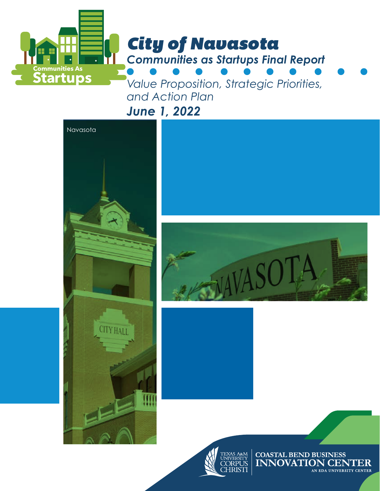

*and Action Plan* 

*June 1, 2022*







**COASTAL BEND BUSINESS INNOVATION CENTER** AN EDA UNIVERSITY CENTER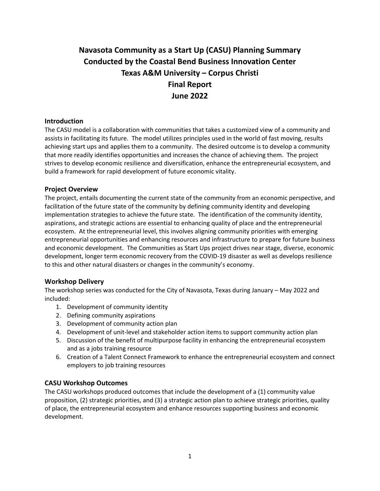# **Navasota Community as a Start Up (CASU) Planning Summary Conducted by the Coastal Bend Business Innovation Center Texas A&M University – Corpus Christi Final Report June 2022**

# **Introduction**

The CASU model is a collaboration with communities that takes a customized view of a community and assists in facilitating its future. The model utilizes principles used in the world of fast moving, results achieving start ups and applies them to a community. The desired outcome is to develop a community that more readily identifies opportunities and increases the chance of achieving them. The project strives to develop economic resilience and diversification, enhance the entrepreneurial ecosystem, and build a framework for rapid development of future economic vitality.

#### **Project Overview**

The project, entails documenting the current state of the community from an economic perspective, and facilitation of the future state of the community by defining community identity and developing implementation strategies to achieve the future state. The identification of the community identity, aspirations, and strategic actions are essential to enhancing quality of place and the entrepreneurial ecosystem. At the entrepreneurial level, this involves aligning community priorities with emerging entrepreneurial opportunities and enhancing resources and infrastructure to prepare for future business and economic development. The Communities as Start Ups project drives near stage, diverse, economic development, longer term economic recovery from the COVID-19 disaster as well as develops resilience to this and other natural disasters or changes in the community's economy.

#### **Workshop Delivery**

The workshop series was conducted for the City of Navasota, Texas during January – May 2022 and included:

- 1. Development of community identity
- 2. Defining community aspirations
- 3. Development of community action plan
- 4. Development of unit-level and stakeholder action items to support community action plan
- 5. Discussion of the benefit of multipurpose facility in enhancing the entrepreneurial ecosystem and as a jobs training resource
- 6. Creation of a Talent Connect Framework to enhance the entrepreneurial ecosystem and connect employers to job training resources

# **CASU Workshop Outcomes**

The CASU workshops produced outcomes that include the development of a (1) community value proposition, (2) strategic priorities, and (3) a strategic action plan to achieve strategic priorities, quality of place, the entrepreneurial ecosystem and enhance resources supporting business and economic development.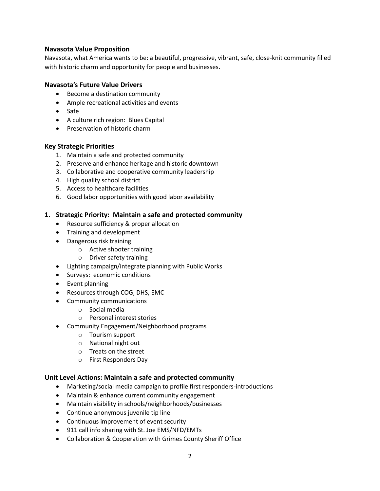### **Navasota Value Proposition**

Navasota, what America wants to be: a beautiful, progressive, vibrant, safe, close-knit community filled with historic charm and opportunity for people and businesses.

#### **Navasota's Future Value Drivers**

- Become a destination community
- Ample recreational activities and events
- Safe
- A culture rich region: Blues Capital
- Preservation of historic charm

#### **Key Strategic Priorities**

- 1. Maintain a safe and protected community
- 2. Preserve and enhance heritage and historic downtown
- 3. Collaborative and cooperative community leadership
- 4. High quality school district
- 5. Access to healthcare facilities
- 6. Good labor opportunities with good labor availability

#### **1. Strategic Priority: Maintain a safe and protected community**

- Resource sufficiency & proper allocation
- Training and development
- Dangerous risk training
	- o Active shooter training
	- o Driver safety training
- Lighting campaign/integrate planning with Public Works
- Surveys: economic conditions
- Event planning
- Resources through COG, DHS, EMC
- Community communications
	- o Social media
	- o Personal interest stories
- Community Engagement/Neighborhood programs
	- o Tourism support
	- o National night out
	- o Treats on the street
	- o First Responders Day

#### **Unit Level Actions: Maintain a safe and protected community**

- Marketing/social media campaign to profile first responders-introductions
- Maintain & enhance current community engagement
- Maintain visibility in schools/neighborhoods/businesses
- Continue anonymous juvenile tip line
- Continuous improvement of event security
- 911 call info sharing with St. Joe EMS/NFD/EMTs
- Collaboration & Cooperation with Grimes County Sheriff Office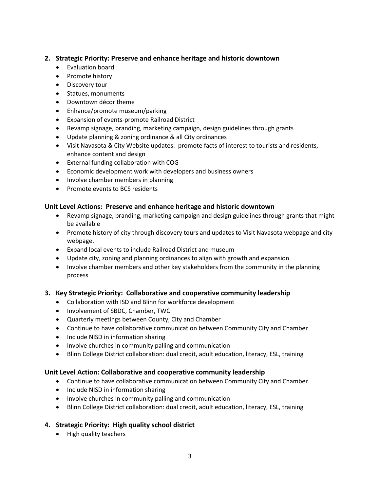# **2. Strategic Priority: Preserve and enhance heritage and historic downtown**

- Evaluation board
- Promote history
- Discovery tour
- Statues, monuments
- Downtown décor theme
- Enhance/promote museum/parking
- Expansion of events-promote Railroad District
- Revamp signage, branding, marketing campaign, design guidelines through grants
- Update planning & zoning ordinance & all City ordinances
- Visit Navasota & City Website updates: promote facts of interest to tourists and residents, enhance content and design
- External funding collaboration with COG
- Economic development work with developers and business owners
- Involve chamber members in planning
- Promote events to BCS residents

# **Unit Level Actions: Preserve and enhance heritage and historic downtown**

- Revamp signage, branding, marketing campaign and design guidelines through grants that might be available
- Promote history of city through discovery tours and updates to Visit Navasota webpage and city webpage.
- Expand local events to include Railroad District and museum
- Update city, zoning and planning ordinances to align with growth and expansion
- Involve chamber members and other key stakeholders from the community in the planning process

# **3. Key Strategic Priority: Collaborative and cooperative community leadership**

- Collaboration with ISD and Blinn for workforce development
- Involvement of SBDC, Chamber, TWC
- Quarterly meetings between County, City and Chamber
- Continue to have collaborative communication between Community City and Chamber
- Include NISD in information sharing
- Involve churches in community palling and communication
- Blinn College District collaboration: dual credit, adult education, literacy, ESL, training

# **Unit Level Action: Collaborative and cooperative community leadership**

- Continue to have collaborative communication between Community City and Chamber
- Include NISD in information sharing
- Involve churches in community palling and communication
- Blinn College District collaboration: dual credit, adult education, literacy, ESL, training

# **4. Strategic Priority: High quality school district**

• High quality teachers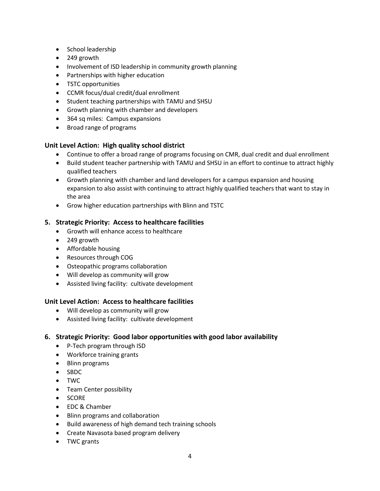- School leadership
- 249 growth
- Involvement of ISD leadership in community growth planning
- Partnerships with higher education
- TSTC opportunities
- CCMR focus/dual credit/dual enrollment
- Student teaching partnerships with TAMU and SHSU
- Growth planning with chamber and developers
- 364 sq miles: Campus expansions
- Broad range of programs

#### **Unit Level Action: High quality school district**

- Continue to offer a broad range of programs focusing on CMR, dual credit and dual enrollment
- Build student teacher partnership with TAMU and SHSU in an effort to continue to attract highly qualified teachers
- Growth planning with chamber and land developers for a campus expansion and housing expansion to also assist with continuing to attract highly qualified teachers that want to stay in the area
- Grow higher education partnerships with Blinn and TSTC

#### **5. Strategic Priority: Access to healthcare facilities**

- Growth will enhance access to healthcare
- 249 growth
- Affordable housing
- Resources through COG
- Osteopathic programs collaboration
- Will develop as community will grow
- Assisted living facility: cultivate development

# **Unit Level Action: Access to healthcare facilities**

- Will develop as community will grow
- Assisted living facility: cultivate development

#### **6. Strategic Priority: Good labor opportunities with good labor availability**

- P-Tech program through ISD
- Workforce training grants
- Blinn programs
- SBDC
- TWC
- Team Center possibility
- SCORE
- EDC & Chamber
- Blinn programs and collaboration
- Build awareness of high demand tech training schools
- Create Navasota based program delivery
- TWC grants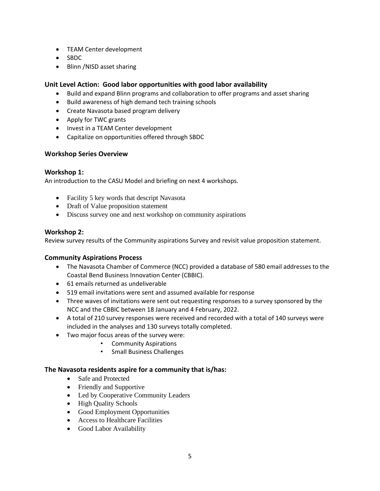- TEAM Center development
- SBDC
- Blinn /NISD asset sharing

# **Unit Level Action: Good labor opportunities with good labor availability**

- Build and expand Blinn programs and collaboration to offer programs and asset sharing
- Build awareness of high demand tech training schools
- Create Navasota based program delivery
- Apply for TWC grants
- Invest in a TEAM Center development
- Capitalize on opportunities offered through SBDC

# **Workshop Series Overview**

# **Workshop 1:**

An introduction to the CASU Model and briefing on next 4 workshops.

- Facility 5 key words that descript Navasota
- Draft of Value proposition statement
- Discuss survey one and next workshop on community aspirations

# **Workshop 2:**

Review survey results of the Community aspirations Survey and revisit value proposition statement.

# **Community Aspirations Process**

- The Navasota Chamber of Commerce (NCC) provided a database of 580 email addresses to the Coastal Bend Business Innovation Center (CBBIC).
- 61 emails returned as undeliverable
- 519 email invitations were sent and assumed available for response
- Three waves of invitations were sent out requesting responses to a survey sponsored by the NCC and the CBBIC between 18 January and 4 February, 2022.
- A total of 210 survey responses were received and recorded with a total of 140 surveys were included in the analyses and 130 surveys totally completed.
- Two major focus areas of the survey were:
	- Community Aspirations
		- Small Business Challenges

#### **The Navasota residents aspire for a community that is/has:**

- Safe and Protected
- Friendly and Supportive
- Led by Cooperative Community Leaders
- High Quality Schools
- Good Employment Opportunities
- Access to Healthcare Facilities
- Good Labor Availability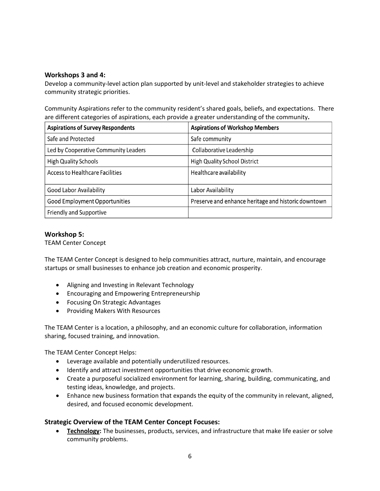## **Workshops 3 and 4:**

Develop a community-level action plan supported by unit-level and stakeholder strategies to achieve community strategic priorities.

Community Aspirations refer to the community resident's shared goals, beliefs, and expectations. There are different categories of aspirations, each provide a greater understanding of the community**.** 

| <b>Aspirations of Survey Respondents</b> | <b>Aspirations of Workshop Members</b>              |
|------------------------------------------|-----------------------------------------------------|
| Safe and Protected                       | Safe community                                      |
| Led by Cooperative Community Leaders     | Collaborative Leadership                            |
| <b>High Quality Schools</b>              | <b>High Quality School District</b>                 |
| <b>Access to Healthcare Facilities</b>   | Healthcare availability                             |
| Good Labor Availability                  | Labor Availability                                  |
| <b>Good Employment Opportunities</b>     | Preserve and enhance heritage and historic downtown |
| Friendly and Supportive                  |                                                     |

#### **Workshop 5:**

TEAM Center Concept

The TEAM Center Concept is designed to help communities attract, nurture, maintain, and encourage startups or small businesses to enhance job creation and economic prosperity.

- Aligning and Investing in Relevant Technology
- Encouraging and Empowering Entrepreneurship
- Focusing On Strategic Advantages
- Providing Makers With Resources

The TEAM Center is a location, a philosophy, and an economic culture for collaboration, information sharing, focused training, and innovation.

The TEAM Center Concept Helps:

- Leverage available and potentially underutilized resources.
- Identify and attract investment opportunities that drive economic growth.
- Create a purposeful socialized environment for learning, sharing, building, communicating, and testing ideas, knowledge, and projects.
- Enhance new business formation that expands the equity of the community in relevant, aligned, desired, and focused economic development.

#### **Strategic Overview of the TEAM Center Concept Focuses:**

• **Technology:** The businesses, products, services, and infrastructure that make life easier or solve community problems.